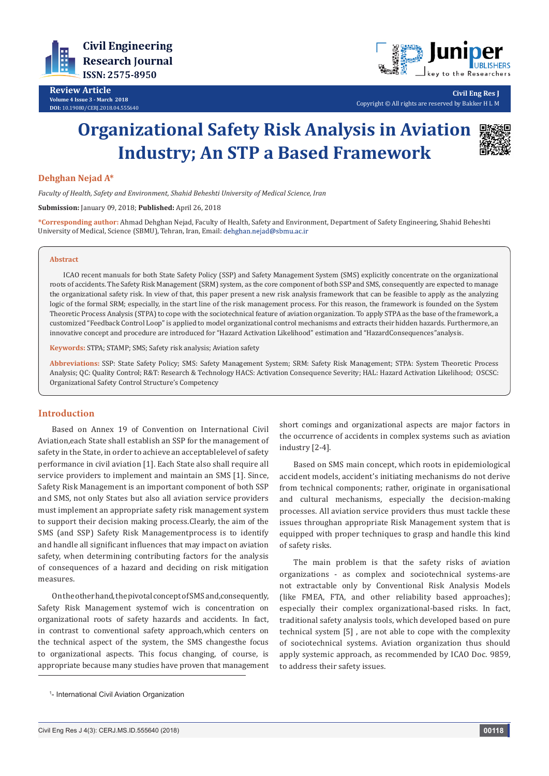



**Civil Eng Res J** Copyright © All rights are reserved by Bakker H L M

# **Organizational Safety Risk Analysis in Aviation Industry; An STP a Based Framework**



## **Dehghan Nejad A\***

*Faculty of Health, Safety and Environment, Shahid Beheshti University of Medical Science, Iran*

**Submission:** January 09, 2018; **Published:** April 26, 2018

**\*Corresponding author:** Ahmad Dehghan Nejad, Faculty of Health, Safety and Environment, Department of Safety Engineering, Shahid Beheshti University of Medical, Science (SBMU), Tehran, Iran, Email: dehghan.nejad@sbmu.ac.ir

#### **Abstract**

ICAO recent manuals for both State Safety Policy (SSP) and Safety Management System (SMS) explicitly concentrate on the organizational roots of accidents. The Safety Risk Management (SRM) system, as the core component of both SSP and SMS, consequently are expected to manage the organizational safety risk. In view of that, this paper present a new risk analysis framework that can be feasible to apply as the analyzing logic of the formal SRM; especially, in the start line of the risk management process. For this reason, the framework is founded on the System Theoretic Process Analysis (STPA) to cope with the sociotechnical feature of aviation organization. To apply STPA as the base of the framework, a customized "Feedback Control Loop" is applied to model organizational control mechanisms and extracts their hidden hazards. Furthermore, an innovative concept and procedure are introduced for "Hazard Activation Likelihood" estimation and "HazardConsequences"analysis.

**Keywords:** STPA; STAMP; SMS; Safety risk analysis; Aviation safety

**Abbreviations:** SSP: State Safety Policy; SMS: Safety Management System; SRM: Safety Risk Management; STPA: System Theoretic Process Analysis; QC: Quality Control; R&T: Research & Technology HACS: Activation Consequence Severity; HAL: Hazard Activation Likelihood; OSCSC: Organizational Safety Control Structure's Competency

### **Introduction**

Based on Annex 19 of Convention on International Civil Aviation,each State shall establish an SSP for the management of safety in the State, in order to achieve an acceptablelevel of safety performance in civil aviation [1]. Each State also shall require all service providers to implement and maintain an SMS [1]. Since, Safety Risk Management is an important component of both SSP and SMS, not only States but also all aviation service providers must implement an appropriate safety risk management system to support their decision making process.Clearly, the aim of the SMS (and SSP) Safety Risk Managementprocess is to identify and handle all significant influences that may impact on aviation safety, when determining contributing factors for the analysis of consequences of a hazard and deciding on risk mitigation measures.

On the other hand, the pivotal concept of SMS and,consequently, Safety Risk Management systemof wich is concentration on organizational roots of safety hazards and accidents. In fact, in contrast to conventional safety approach,which centers on the technical aspect of the system, the SMS changesthe focus to organizational aspects. This focus changing, of course, is appropriate because many studies have proven that management short comings and organizational aspects are major factors in the occurrence of accidents in complex systems such as aviation industry [2-4].

Based on SMS main concept, which roots in epidemiological accident models, accident's initiating mechanisms do not derive from technical components; rather, originate in organisational and cultural mechanisms, especially the decision-making processes. All aviation service providers thus must tackle these issues throughan appropriate Risk Management system that is equipped with proper techniques to grasp and handle this kind of safety risks.

The main problem is that the safety risks of aviation organizations - as complex and sociotechnical systems-are not extractable only by Conventional Risk Analysis Models (like FMEA, FTA, and other reliability based approaches); especially their complex organizational-based risks. In fact, traditional safety analysis tools, which developed based on pure technical system [5] , are not able to cope with the complexity of sociotechnical systems. Aviation organization thus should apply systemic approach, as recommended by ICAO Doc. 9859, to address their safety issues.

<sup>1</sup> - International Civil Aviation Organization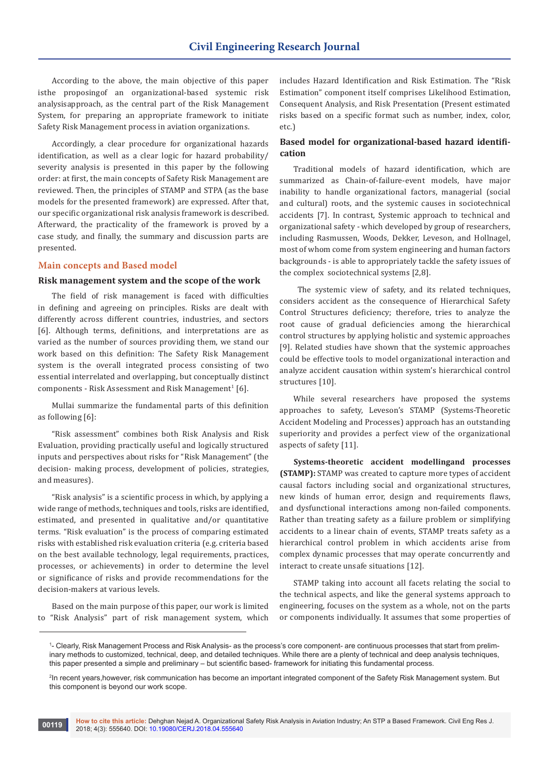According to the above, the main objective of this paper isthe proposingof an organizational-based systemic risk analysisapproach, as the central part of the Risk Management System, for preparing an appropriate framework to initiate Safety Risk Management process in aviation organizations.

Accordingly, a clear procedure for organizational hazards identification, as well as a clear logic for hazard probability/ severity analysis is presented in this paper by the following order: at first, the main concepts of Safety Risk Management are reviewed. Then, the principles of STAMP and STPA (as the base models for the presented framework) are expressed. After that, our specific organizational risk analysis framework is described. Afterward, the practicality of the framework is proved by a case study, and finally, the summary and discussion parts are presented.

#### **Main concepts and Based model**

#### **Risk management system and the scope of the work**

The field of risk management is faced with difficulties in defining and agreeing on principles. Risks are dealt with differently across different countries, industries, and sectors [6]. Although terms, definitions, and interpretations are as varied as the number of sources providing them, we stand our work based on this definition: The Safety Risk Management system is the overall integrated process consisting of two essential interrelated and overlapping, but conceptually distinct  $\,$  components - Risk Assessment and Risk Management $\,$  [6].

Mullai summarize the fundamental parts of this definition as following [6]:

"Risk assessment" combines both Risk Analysis and Risk Evaluation, providing practically useful and logically structured inputs and perspectives about risks for "Risk Management" (the decision- making process, development of policies, strategies, and measures).

"Risk analysis" is a scientific process in which, by applying a wide range of methods, techniques and tools, risks are identified, estimated, and presented in qualitative and/or quantitative terms. "Risk evaluation" is the process of comparing estimated risks with established risk evaluation criteria (e.g. criteria based on the best available technology, legal requirements, practices, processes, or achievements) in order to determine the level or significance of risks and provide recommendations for the decision-makers at various levels.

Based on the main purpose of this paper, our work is limited to "Risk Analysis" part of risk management system, which

includes Hazard Identification and Risk Estimation. The "Risk Estimation" component itself comprises Likelihood Estimation, Consequent Analysis, and Risk Presentation (Present estimated risks based on a specific format such as number, index, color, etc.)

## **Based model for organizational-based hazard identification**

Traditional models of hazard identification, which are summarized as Chain-of-failure-event models, have major inability to handle organizational factors, managerial (social and cultural) roots, and the systemic causes in sociotechnical accidents [7]. In contrast, Systemic approach to technical and organizational safety - which developed by group of researchers, including Rasmussen, Woods, Dekker, Leveson, and Hollnagel, most of whom come from system engineering and human factors backgrounds - is able to appropriately tackle the safety issues of the complex sociotechnical systems [2,8].

The systemic view of safety, and its related techniques, considers accident as the consequence of Hierarchical Safety Control Structures deficiency; therefore, tries to analyze the root cause of gradual deficiencies among the hierarchical control structures by applying holistic and systemic approaches [9]. Related studies have shown that the systemic approaches could be effective tools to model organizational interaction and analyze accident causation within system's hierarchical control structures [10].

While several researchers have proposed the systems approaches to safety, Leveson's STAMP (Systems-Theoretic Accident Modeling and Processes) approach has an outstanding superiority and provides a perfect view of the organizational aspects of safety [11].

**Systems-theoretic accident modellingand processes (STAMP):** STAMP was created to capture more types of accident causal factors including social and organizational structures, new kinds of human error, design and requirements flaws, and dysfunctional interactions among non-failed components. Rather than treating safety as a failure problem or simplifying accidents to a linear chain of events, STAMP treats safety as a hierarchical control problem in which accidents arise from complex dynamic processes that may operate concurrently and interact to create unsafe situations [12].

STAMP taking into account all facets relating the social to the technical aspects, and like the general systems approach to engineering, focuses on the system as a whole, not on the parts or components individually. It assumes that some properties of

<sup>1</sup> - Clearly, Risk Management Process and Risk Analysis- as the process's core component- are continuous processes that start from preliminary methods to customized, technical, deep, and detailed techniques. While there are a plenty of technical and deep analysis techniques, this paper presented a simple and preliminary – but scientific based- framework for initiating this fundamental process.

<sup>2</sup> In recent years,however, risk communication has become an important integrated component of the Safety Risk Management system. But this component is beyond our work scope.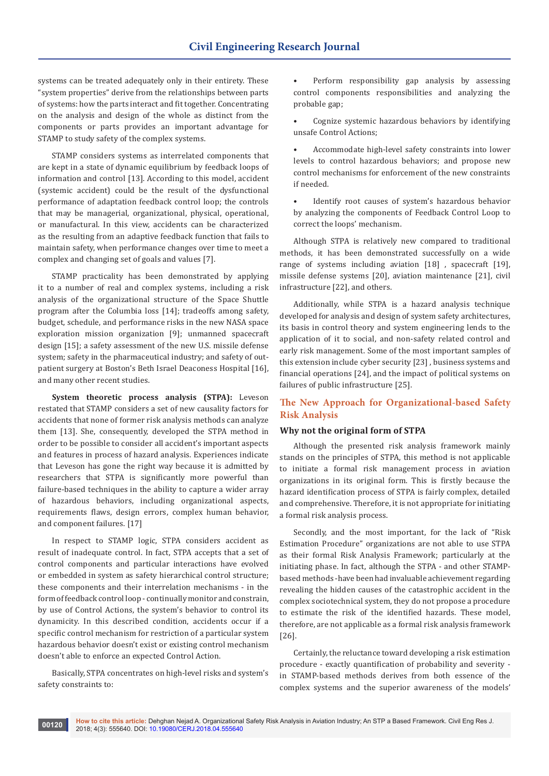systems can be treated adequately only in their entirety. These "system properties" derive from the relationships between parts of systems: how the parts interact and fit together. Concentrating on the analysis and design of the whole as distinct from the components or parts provides an important advantage for STAMP to study safety of the complex systems.

STAMP considers systems as interrelated components that are kept in a state of dynamic equilibrium by feedback loops of information and control [13]. According to this model, accident (systemic accident) could be the result of the dysfunctional performance of adaptation feedback control loop; the controls that may be managerial, organizational, physical, operational, or manufactural. In this view, accidents can be characterized as the resulting from an adaptive feedback function that fails to maintain safety, when performance changes over time to meet a complex and changing set of goals and values [7].

STAMP practicality has been demonstrated by applying it to a number of real and complex systems, including a risk analysis of the organizational structure of the Space Shuttle program after the Columbia loss [14]; tradeoffs among safety, budget, schedule, and performance risks in the new NASA space exploration mission organization [9]; unmanned spacecraft design [15]; a safety assessment of the new U.S. missile defense system; safety in the pharmaceutical industry; and safety of outpatient surgery at Boston's Beth Israel Deaconess Hospital [16], and many other recent studies.

**System theoretic process analysis (STPA):** Leveson restated that STAMP considers a set of new causality factors for accidents that none of former risk analysis methods can analyze them [13]. She, consequently, developed the STPA method in order to be possible to consider all accident's important aspects and features in process of hazard analysis. Experiences indicate that Leveson has gone the right way because it is admitted by researchers that STPA is significantly more powerful than failure-based techniques in the ability to capture a wider array of hazardous behaviors, including organizational aspects, requirements flaws, design errors, complex human behavior, and component failures. [17]

In respect to STAMP logic, STPA considers accident as result of inadequate control. In fact, STPA accepts that a set of control components and particular interactions have evolved or embedded in system as safety hierarchical control structure; these components and their interrelation mechanisms - in the form of feedback control loop - continually monitor and constrain, by use of Control Actions, the system's behavior to control its dynamicity. In this described condition, accidents occur if a specific control mechanism for restriction of a particular system hazardous behavior doesn't exist or existing control mechanism doesn't able to enforce an expected Control Action.

Basically, STPA concentrates on high-level risks and system's safety constraints to:

Perform responsibility gap analysis by assessing control components responsibilities and analyzing the probable gap;

• Cognize systemic hazardous behaviors by identifying unsafe Control Actions;

• Accommodate high-level safety constraints into lower levels to control hazardous behaviors; and propose new control mechanisms for enforcement of the new constraints if needed.

Identify root causes of system's hazardous behavior by analyzing the components of Feedback Control Loop to correct the loops' mechanism.

Although STPA is relatively new compared to traditional methods, it has been demonstrated successfully on a wide range of systems including aviation [18] , spacecraft [19], missile defense systems [20], aviation maintenance [21], civil infrastructure [22], and others.

Additionally, while STPA is a hazard analysis technique developed for analysis and design of system safety architectures, its basis in control theory and system engineering lends to the application of it to social, and non-safety related control and early risk management. Some of the most important samples of this extension include cyber security [23] , business systems and financial operations [24], and the impact of political systems on failures of public infrastructure [25].

# **The New Approach for Organizational-based Safety Risk Analysis**

#### **Why not the original form of STPA**

Although the presented risk analysis framework mainly stands on the principles of STPA, this method is not applicable to initiate a formal risk management process in aviation organizations in its original form. This is firstly because the hazard identification process of STPA is fairly complex, detailed and comprehensive. Therefore, it is not appropriate for initiating a formal risk analysis process.

Secondly, and the most important, for the lack of "Risk Estimation Procedure" organizations are not able to use STPA as their formal Risk Analysis Framework; particularly at the initiating phase. In fact, although the STPA - and other STAMPbased methods -have been had invaluable achievement regarding revealing the hidden causes of the catastrophic accident in the complex sociotechnical system, they do not propose a procedure to estimate the risk of the identified hazards. These model, therefore, are not applicable as a formal risk analysis framework [26].

Certainly, the reluctance toward developing a risk estimation procedure - exactly quantification of probability and severity in STAMP-based methods derives from both essence of the complex systems and the superior awareness of the models'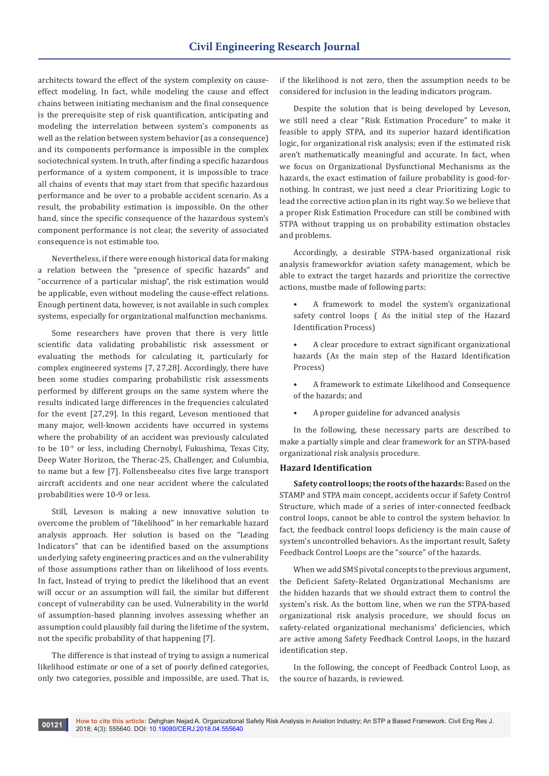architects toward the effect of the system complexity on causeeffect modeling. In fact, while modeling the cause and effect chains between initiating mechanism and the final consequence is the prerequisite step of risk quantification, anticipating and modeling the interrelation between system's components as well as the relation between system behavior (as a consequence) and its components performance is impossible in the complex sociotechnical system. In truth, after finding a specific hazardous performance of a system component, it is impossible to trace all chains of events that may start from that specific hazardous performance and be over to a probable accident scenario. As a result, the probability estimation is impossible. On the other hand, since the specific consequence of the hazardous system's component performance is not clear, the severity of associated consequence is not estimable too.

Nevertheless, if there were enough historical data for making a relation between the "presence of specific hazards" and "occurrence of a particular mishap", the risk estimation would be applicable, even without modeling the cause-effect relations. Enough pertinent data, however, is not available in such complex systems, especially for organizational malfunction mechanisms.

Some researchers have proven that there is very little scientific data validating probabilistic risk assessment or evaluating the methods for calculating it, particularly for complex engineered systems [7, 27,28]. Accordingly, there have been some studies comparing probabilistic risk assessments performed by different groups on the same system where the results indicated large differences in the frequencies calculated for the event [27,29]. In this regard, Leveson mentioned that many major, well-known accidents have occurred in systems where the probability of an accident was previously calculated to be 10-9 or less, including Chernobyl, Fukushima, Texas City, Deep Water Horizon, the Therac-25, Challenger, and Columbia, to name but a few [7]. Follensbeealso cites five large transport aircraft accidents and one near accident where the calculated probabilities were 10-9 or less.

Still, Leveson is making a new innovative solution to overcome the problem of "likelihood" in her remarkable hazard analysis approach. Her solution is based on the "Leading Indicators" that can be identified based on the assumptions underlying safety engineering practices and on the vulnerability of those assumptions rather than on likelihood of loss events. In fact, Instead of trying to predict the likelihood that an event will occur or an assumption will fail, the similar but different concept of vulnerability can be used. Vulnerability in the world of assumption-based planning involves assessing whether an assumption could plausibly fail during the lifetime of the system, not the specific probability of that happening [7].

The difference is that instead of trying to assign a numerical likelihood estimate or one of a set of poorly defined categories, only two categories, possible and impossible, are used. That is,

if the likelihood is not zero, then the assumption needs to be considered for inclusion in the leading indicators program.

Despite the solution that is being developed by Leveson, we still need a clear "Risk Estimation Procedure" to make it feasible to apply STPA, and its superior hazard identification logic, for organizational risk analysis; even if the estimated risk aren't mathematically meaningful and accurate. In fact, when we focus on Organizational Dysfunctional Mechanisms as the hazards, the exact estimation of failure probability is good-fornothing. In contrast, we just need a clear Prioritizing Logic to lead the corrective action plan in its right way. So we believe that a proper Risk Estimation Procedure can still be combined with STPA without trapping us on probability estimation obstacles and problems.

Accordingly, a desirable STPA-based organizational risk analysis frameworkfor aviation safety management, which be able to extract the target hazards and prioritize the corrective actions, mustbe made of following parts:

- A framework to model the system's organizational safety control loops ( As the initial step of the Hazard Identification Process)
- A clear procedure to extract significant organizational hazards (As the main step of the Hazard Identification Process)
- A framework to estimate Likelihood and Consequence of the hazards; and
- A proper guideline for advanced analysis

In the following, these necessary parts are described to make a partially simple and clear framework for an STPA-based organizational risk analysis procedure.

## **Hazard Identification**

**Safety control loops; the roots of the hazards:** Based on the STAMP and STPA main concept, accidents occur if Safety Control Structure, which made of a series of inter-connected feedback control loops, cannot be able to control the system behavior. In fact, the feedback control loops deficiency is the main cause of system's uncontrolled behaviors. As the important result, Safety Feedback Control Loops are the "source" of the hazards.

When we add SMS pivotal concepts to the previous argument, the Deficient Safety-Related Organizational Mechanisms are the hidden hazards that we should extract them to control the system's risk. As the bottom line, when we run the STPA-based organizational risk analysis procedure, we should focus on safety-related organizational mechanisms' deficiencies, which are active among Safety Feedback Control Loops, in the hazard identification step.

In the following, the concept of Feedback Control Loop, as the source of hazards, is reviewed.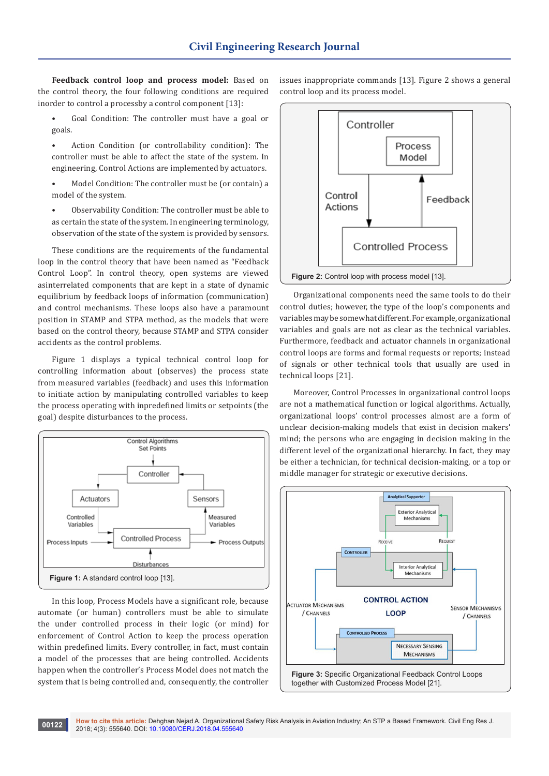**Feedback control loop and process model:** Based on the control theory, the four following conditions are required inorder to control a processby a control component [13]:

- Goal Condition: The controller must have a goal or goals.
- Action Condition (or controllability condition): The controller must be able to affect the state of the system. In engineering, Control Actions are implemented by actuators.
- Model Condition: The controller must be (or contain) a model of the system.
- Observability Condition: The controller must be able to as certain the state of the system. In engineering terminology, observation of the state of the system is provided by sensors.

These conditions are the requirements of the fundamental loop in the control theory that have been named as "Feedback Control Loop". In control theory, open systems are viewed asinterrelated components that are kept in a state of dynamic equilibrium by feedback loops of information (communication) and control mechanisms. These loops also have a paramount position in STAMP and STPA method, as the models that were based on the control theory, because STAMP and STPA consider accidents as the control problems.

Figure 1 displays a typical technical control loop for controlling information about (observes) the process state from measured variables (feedback) and uses this information to initiate action by manipulating controlled variables to keep the process operating with inpredefined limits or setpoints (the goal) despite disturbances to the process.



In this loop, Process Models have a significant role, because automate (or human) controllers must be able to simulate the under controlled process in their logic (or mind) for enforcement of Control Action to keep the process operation within predefined limits. Every controller, in fact, must contain a model of the processes that are being controlled. Accidents happen when the controller's Process Model does not match the system that is being controlled and, consequently, the controller

issues inappropriate commands [13]. Figure 2 shows a general control loop and its process model.



Organizational components need the same tools to do their control duties; however, the type of the loop's components and variables may be somewhat different. For example, organizational variables and goals are not as clear as the technical variables. Furthermore, feedback and actuator channels in organizational control loops are forms and formal requests or reports; instead of signals or other technical tools that usually are used in technical loops [21].

Moreover, Control Processes in organizational control loops are not a mathematical function or logical algorithms. Actually, organizational loops' control processes almost are a form of unclear decision-making models that exist in decision makers' mind; the persons who are engaging in decision making in the different level of the organizational hierarchy. In fact, they may be either a technician, for technical decision-making, or a top or middle manager for strategic or executive decisions.

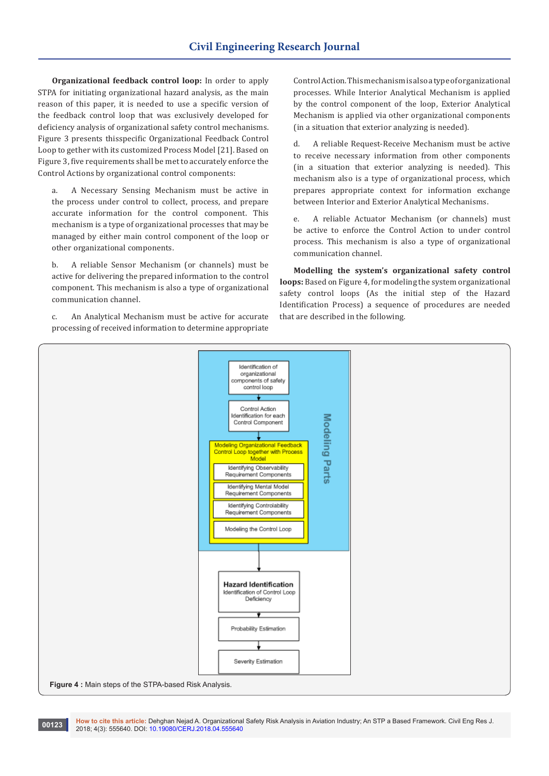**Organizational feedback control loop:** In order to apply STPA for initiating organizational hazard analysis, as the main reason of this paper, it is needed to use a specific version of the feedback control loop that was exclusively developed for deficiency analysis of organizational safety control mechanisms. Figure 3 presents thisspecific Organizational Feedback Control Loop to gether with its customized Process Model [21]. Based on Figure 3, five requirements shall be met to accurately enforce the Control Actions by organizational control components:

a. A Necessary Sensing Mechanism must be active in the process under control to collect, process, and prepare accurate information for the control component. This mechanism is a type of organizational processes that may be managed by either main control component of the loop or other organizational components.

b. A reliable Sensor Mechanism (or channels) must be active for delivering the prepared information to the control component. This mechanism is also a type of organizational communication channel.

c. An Analytical Mechanism must be active for accurate processing of received information to determine appropriate

Control Action. This mechanism is also a type of organizational processes. While Interior Analytical Mechanism is applied by the control component of the loop, Exterior Analytical Mechanism is applied via other organizational components (in a situation that exterior analyzing is needed).

d. A reliable Request-Receive Mechanism must be active to receive necessary information from other components (in a situation that exterior analyzing is needed). This mechanism also is a type of organizational process, which prepares appropriate context for information exchange between Interior and Exterior Analytical Mechanisms.

e. A reliable Actuator Mechanism (or channels) must be active to enforce the Control Action to under control process. This mechanism is also a type of organizational communication channel.

**Modelling the system's organizational safety control loops:** Based on Figure 4, for modeling the system organizational safety control loops (As the initial step of the Hazard Identification Process) a sequence of procedures are needed that are described in the following.

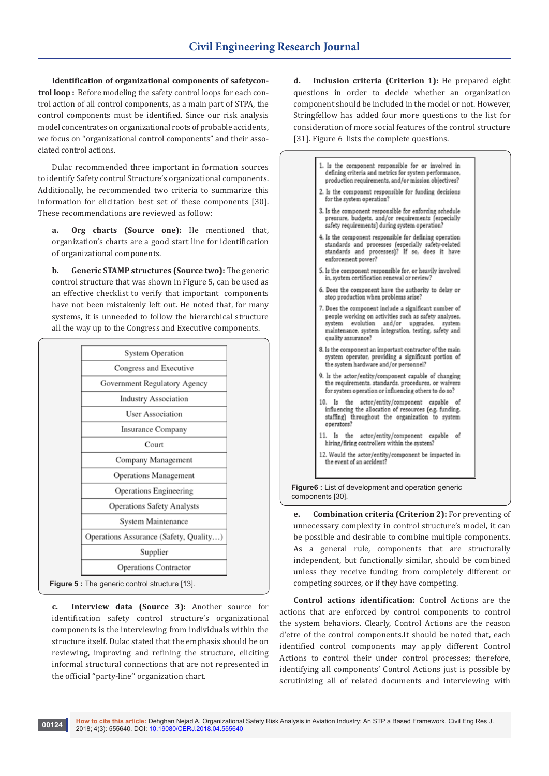**Identification of organizational components of safetycontrol loop :** Before modeling the safety control loops for each control action of all control components, as a main part of STPA, the control components must be identified. Since our risk analysis model concentrates on organizational roots of probable accidents, we focus on "organizational control components" and their associated control actions.

Dulac recommended three important in formation sources to identify Safety control Structure's organizational components. Additionally, he recommended two criteria to summarize this information for elicitation best set of these components [30]. These recommendations are reviewed as follow:

**a. Org charts (Source one):** He mentioned that, organization's charts are a good start line for identification of organizational components.

**b. Generic STAMP structures (Source two):** The generic control structure that was shown in Figure 5, can be used as an effective checklist to verify that important components have not been mistakenly left out. He noted that, for many systems, it is unneeded to follow the hierarchical structure all the way up to the Congress and Executive components.

| <b>System Operation</b>                              |
|------------------------------------------------------|
| Congress and Executive                               |
| Government Regulatory Agency                         |
| <b>Industry Association</b>                          |
| <b>User Association</b>                              |
| Insurance Company                                    |
| Court                                                |
| Company Management                                   |
| <b>Operations Management</b>                         |
| Operations Engineering                               |
| Operations Safety Analysts                           |
| System Maintenance                                   |
| Operations Assurance (Safety, Quality)               |
| Supplier                                             |
| Operations Contractor                                |
| <b>Figure 5:</b> The generic control structure [13]. |

**c. Interview data (Source 3):** Another source for identification safety control structure's organizational components is the interviewing from individuals within the structure itself. Dulac stated that the emphasis should be on reviewing, improving and refining the structure, eliciting informal structural connections that are not represented in the official ''party-line'' organization chart.

**d. Inclusion criteria (Criterion 1):** He prepared eight questions in order to decide whether an organization component should be included in the model or not. However, Stringfellow has added four more questions to the list for consideration of more social features of the control structure [31]. Figure 6 lists the complete questions.



**e. Combination criteria (Criterion 2):** For preventing of unnecessary complexity in control structure's model, it can be possible and desirable to combine multiple components. As a general rule, components that are structurally independent, but functionally similar, should be combined unless they receive funding from completely different or competing sources, or if they have competing.

**Control actions identification:** Control Actions are the actions that are enforced by control components to control the system behaviors. Clearly, Control Actions are the reason d'etre of the control components.It should be noted that, each identified control components may apply different Control Actions to control their under control processes; therefore, identifying all components' Control Actions just is possible by scrutinizing all of related documents and interviewing with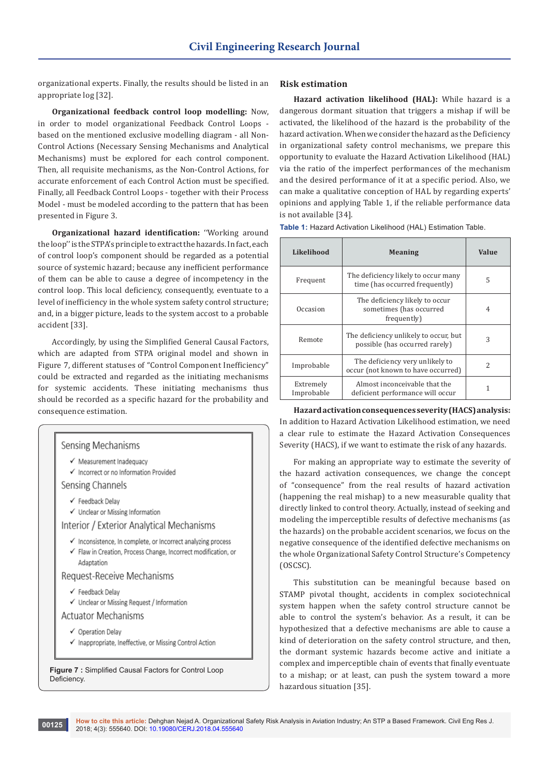organizational experts. Finally, the results should be listed in an appropriate log [32].

**Organizational feedback control loop modelling:** Now, in order to model organizational Feedback Control Loops based on the mentioned exclusive modelling diagram - all Non-Control Actions (Necessary Sensing Mechanisms and Analytical Mechanisms) must be explored for each control component. Then, all requisite mechanisms, as the Non-Control Actions, for accurate enforcement of each Control Action must be specified. Finally, all Feedback Control Loops - together with their Process Model - must be modeled according to the pattern that has been presented in Figure 3.

**Organizational hazard identification:** ''Working around the loop'' is the STPA's principle to extract the hazards. In fact, each of control loop's component should be regarded as a potential source of systemic hazard; because any inefficient performance of them can be able to cause a degree of incompetency in the control loop. This local deficiency, consequently, eventuate to a level of inefficiency in the whole system safety control structure; and, in a bigger picture, leads to the system accost to a probable accident [33].

Accordingly, by using the Simplified General Causal Factors, which are adapted from STPA original model and shown in Figure 7, different statuses of "Control Component Inefficiency" could be extracted and regarded as the initiating mechanisms for systemic accidents. These initiating mechanisms thus should be recorded as a specific hazard for the probability and consequence estimation.

| ✔ Measurement Inadequacy                                                                                                                     |
|----------------------------------------------------------------------------------------------------------------------------------------------|
| √ Incorrect or no Information Provided                                                                                                       |
| Sensing Channels                                                                                                                             |
| ✔ Feedback Delay                                                                                                                             |
| ✔ Unclear or Missing Information                                                                                                             |
| Interior / Exterior Analytical Mechanisms                                                                                                    |
| √ Inconsistence, In complete, or Incorrect analyzing process<br>✔ Flaw in Creation, Process Change, Incorrect modification, or<br>Adaptation |
| Request-Receive Mechanisms                                                                                                                   |
| ✔ Feedback Delay                                                                                                                             |
| ✔ Unclear or Missing Request / Information                                                                                                   |
| <b>Actuator Mechanisms</b>                                                                                                                   |
| ✔ Operation Delay<br>✔ Inappropriate, Ineffective, or Missing Control Action                                                                 |
|                                                                                                                                              |

## **Risk estimation**

**Hazard activation likelihood (HAL):** While hazard is a dangerous dormant situation that triggers a mishap if will be activated, the likelihood of the hazard is the probability of the hazard activation. When we consider the hazard as the Deficiency in organizational safety control mechanisms, we prepare this opportunity to evaluate the Hazard Activation Likelihood (HAL) via the ratio of the imperfect performances of the mechanism and the desired performance of it at a specific period. Also, we can make a qualitative conception of HAL by regarding experts' opinions and applying Table 1, if the reliable performance data is not available [34].

| Likelihood              | <b>Meaning</b>                                                           | Value         |
|-------------------------|--------------------------------------------------------------------------|---------------|
| Frequent                | The deficiency likely to occur many<br>time (has occurred frequently)    | 5             |
| Occasion                | The deficiency likely to occur<br>sometimes (has occurred<br>frequently) | 4             |
| Remote                  | The deficiency unlikely to occur, but<br>possible (has occurred rarely)  | 3             |
| Improbable              | The deficiency very unlikely to<br>occur (not known to have occurred)    | $\mathcal{P}$ |
| Extremely<br>Improbable | Almost inconceivable that the<br>deficient performance will occur        |               |

**Table 1:** Hazard Activation Likelihood (HAL) Estimation Table.

**Hazard activation consequences severity (HACS) analysis:** In addition to Hazard Activation Likelihood estimation, we need a clear rule to estimate the Hazard Activation Consequences Severity (HACS), if we want to estimate the risk of any hazards.

For making an appropriate way to estimate the severity of the hazard activation consequences, we change the concept of "consequence" from the real results of hazard activation (happening the real mishap) to a new measurable quality that directly linked to control theory. Actually, instead of seeking and modeling the imperceptible results of defective mechanisms (as the hazards) on the probable accident scenarios, we focus on the negative consequence of the identified defective mechanisms on the whole Organizational Safety Control Structure's Competency (OSCSC).

This substitution can be meaningful because based on STAMP pivotal thought, accidents in complex sociotechnical system happen when the safety control structure cannot be able to control the system's behavior. As a result, it can be hypothesized that a defective mechanisms are able to cause a kind of deterioration on the safety control structure, and then, the dormant systemic hazards become active and initiate a complex and imperceptible chain of events that finally eventuate to a mishap; or at least, can push the system toward a more hazardous situation [35].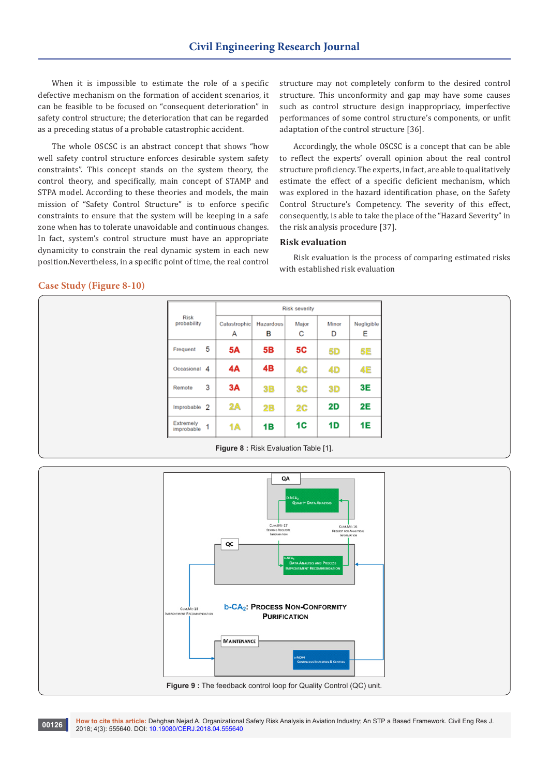When it is impossible to estimate the role of a specific defective mechanism on the formation of accident scenarios, it can be feasible to be focused on "consequent deterioration" in safety control structure; the deterioration that can be regarded as a preceding status of a probable catastrophic accident.

The whole OSCSC is an abstract concept that shows "how well safety control structure enforces desirable system safety constraints". This concept stands on the system theory, the control theory, and specifically, main concept of STAMP and STPA model. According to these theories and models, the main mission of "Safety Control Structure" is to enforce specific constraints to ensure that the system will be keeping in a safe zone when has to tolerate unavoidable and continuous changes. In fact, system's control structure must have an appropriate dynamicity to constrain the real dynamic system in each new position.Nevertheless, in a specific point of time, the real control structure may not completely conform to the desired control structure. This unconformity and gap may have some causes such as control structure design inappropriacy, imperfective performances of some control structure's components, or unfit adaptation of the control structure [36].

Accordingly, the whole OSCSC is a concept that can be able to reflect the experts' overall opinion about the real control structure proficiency. The experts, in fact, are able to qualitatively estimate the effect of a specific deficient mechanism, which was explored in the hazard identification phase, on the Safety Control Structure's Competency. The severity of this effect, consequently, is able to take the place of the "Hazard Severity" in the risk analysis procedure [37].

## **Risk evaluation**

Risk evaluation is the process of comparing estimated risks with established risk evaluation

#### **Case Study (Figure 8-10)**

|                                     | <b>Risk severity</b> |                |            |            |                 |
|-------------------------------------|----------------------|----------------|------------|------------|-----------------|
| <b>Risk</b><br>probability          | Catastrophic<br>А    | Hazardous<br>в | Major<br>с | Minor<br>D | Negligible<br>Е |
| 5<br>Frequent                       | <b>5A</b>            | 5B             | 5C         | 5D         | 5E              |
| Occasional 4                        | 4А                   | 4B             | 4C         | 4D         | 4E              |
| 3<br>Remote                         | 3A                   | 3B             | 3C         | 3D         | 3E              |
| Improbable 2                        | 2A                   | 2B             | 2C         | 2D         | 2E              |
| <b>Extremely</b><br>1<br>improbable | 1A                   | 1B             | 1C         | 1D         | 1E              |

**Figure 8 :** Risk Evaluation Table [1].



**How to cite this article:** Dehghan Nejad A. Organizational Safety Risk Analysis in Aviation Industry; An STP a Based Framework. Civil Eng Res J. **00126 how to cite this article:** Delighan Nejad A. Organizationa<br>2018; 4(3): 555640. DOI: [10.19080/CERJ.2018.04.555640](http://dx.doi.org/10.19080/CERJ.2018.04.555640)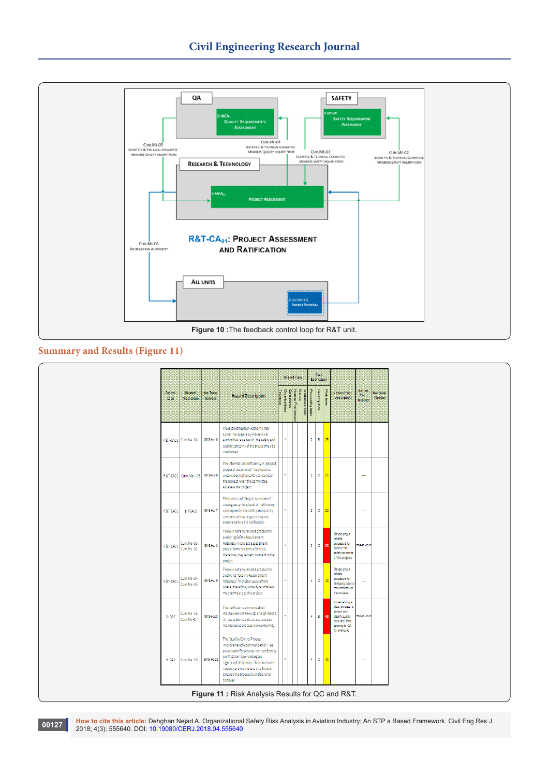

# **Summary and Results (Figure 11)**

| Severity Index<br>Operationa<br>Natura<br>Human Performa<br>Probability Index<br><b>Risk Index</b><br>Action<br>Drg-<br>Workplace Con<br>Related<br>Has Trace<br><b>Action Plan</b><br>Control<br><b>Technica</b><br>Plan<br><b>Hazard Description</b><br><b>Description</b><br><b>Mechanism</b><br>Number<br>enoitatine<br><b>Loop</b><br>Number<br>Project Ratification Authority may<br>sometime bypass by Hierarchical<br>2B<br>$\overline{2}$<br>$\mathbf{B}$<br>R&T-CA01 Cum.Me-06<br>SMS Hz-15<br>authorities; as a result, the safety and<br>quality concerns of the project may be<br>overlooked<br>The information inefficiency in "project<br>proposal documents" may leads to<br>$\mathbf{C}$<br>2 <sup>c</sup><br>$\overline{2}$<br>R&T-CA01   Cum.Me - 06   SMS-Hz-16<br>unconsidering the safety concerns of<br>$\sim$<br>the project when the committee<br>assesses the project<br>The process of "Project Assessment"<br>undergoes a mere level of inefficiency;<br>2 <sup>c</sup><br>$\overline{2}$<br>$\mathbf{c}$<br>SMS Hz 17<br>consequently, the safety and quality<br>R&T-CA01<br>g-NCA01<br>concerns of new projects may not<br>a nalyze before the ratification<br>There in not any reliable process for | Revision<br>Number |
|------------------------------------------------------------------------------------------------------------------------------------------------------------------------------------------------------------------------------------------------------------------------------------------------------------------------------------------------------------------------------------------------------------------------------------------------------------------------------------------------------------------------------------------------------------------------------------------------------------------------------------------------------------------------------------------------------------------------------------------------------------------------------------------------------------------------------------------------------------------------------------------------------------------------------------------------------------------------------------------------------------------------------------------------------------------------------------------------------------------------------------------------------------------------------------------------------------------------------------|--------------------|
|                                                                                                                                                                                                                                                                                                                                                                                                                                                                                                                                                                                                                                                                                                                                                                                                                                                                                                                                                                                                                                                                                                                                                                                                                                    |                    |
|                                                                                                                                                                                                                                                                                                                                                                                                                                                                                                                                                                                                                                                                                                                                                                                                                                                                                                                                                                                                                                                                                                                                                                                                                                    |                    |
|                                                                                                                                                                                                                                                                                                                                                                                                                                                                                                                                                                                                                                                                                                                                                                                                                                                                                                                                                                                                                                                                                                                                                                                                                                    |                    |
|                                                                                                                                                                                                                                                                                                                                                                                                                                                                                                                                                                                                                                                                                                                                                                                                                                                                                                                                                                                                                                                                                                                                                                                                                                    |                    |
| Developing a<br>a nalyzing Safety Requirement<br>reliable<br>Cum.Me-03<br>Adequacy in project assessment<br>procedure for<br>$\circ$<br>SP-96-0302<br>SMS-Hz-18<br>6<br>R&T-CA01<br><b>5C</b><br>control the<br>Cum.Me-02<br>phase. Some hidden safety risk,<br>safetyconcerns<br>therefore, may remain dormant in the<br>of the projects<br>project                                                                                                                                                                                                                                                                                                                                                                                                                                                                                                                                                                                                                                                                                                                                                                                                                                                                               |                    |
| There in not any reliable process for<br>Developing a<br>reliable<br>a nalyzing "Quality Requirement<br>Cum.Me-04<br>procedure for<br>4C<br>$\mathbf{c}$<br>R&T-CA01<br>SMS-Hz-19<br>$\overline{4}$<br>Adequacy" in project assessment<br>$\overline{\phantom{a}}$<br>analyzing qaulity<br>Cum.Me-05<br>phase; therefore, some type offallacy<br>requirements of<br>may permeate to the project<br>the projects                                                                                                                                                                                                                                                                                                                                                                                                                                                                                                                                                                                                                                                                                                                                                                                                                    |                    |
| Implementing a<br>dear process to<br>The inefficient communication<br>extract and<br>$Cum.Me - 16$<br>mechanism between QC and QA makes<br>SMS-Hz-21<br><b>B</b> 48<br>$b$ -CA2<br>$\overline{4}$<br>SP-96-0303<br>dasifyquality<br>$Cum.Me-17$<br>it impossible to extract and analyze<br>data and, then<br>maintenance process non-conformity.<br>sending to QA<br>for analyzing                                                                                                                                                                                                                                                                                                                                                                                                                                                                                                                                                                                                                                                                                                                                                                                                                                                 |                    |
| The "Quality Control Process<br>Improvement Recommendation" - as<br>an actuator for process non-conformity<br>purification loop - undergoes<br>$\mathbf{c}$<br>4C<br>SMS-Hz-22<br>$\overline{4}$<br>b-CA2<br>$Cum.Me - 18$<br>$\sim$<br>significant deficiency. This is because<br>not only are motivators insufficient,<br>but also the process is unclear and<br>complex                                                                                                                                                                                                                                                                                                                                                                                                                                                                                                                                                                                                                                                                                                                                                                                                                                                         |                    |

**How to cite this article:** Dehghan Nejad A. Organizational Safety Risk Analysis in Aviation Industry; An STP a Based Framework. Civil Eng Res J. 2018; 4(3): 555640. DOI: [10.19080/CERJ.2018.04.555640](http://dx.doi.org/10.19080/CERJ.2018.04.555640) **<sup>00127</sup>**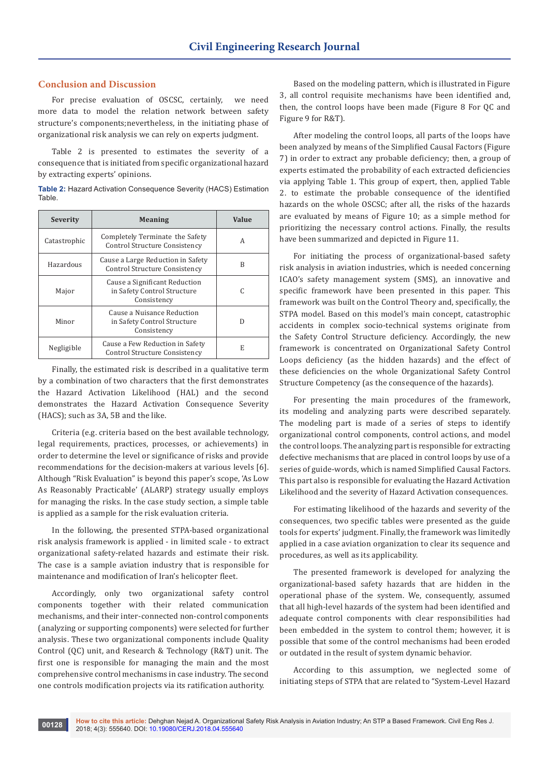## **Conclusion and Discussion**

For precise evaluation of OSCSC, certainly, we need more data to model the relation network between safety structure's components;nevertheless, in the initiating phase of organizational risk analysis we can rely on experts judgment.

Table 2 is presented to estimates the severity of a consequence that is initiated from specific organizational hazard by extracting experts' opinions.

| <b>Table 2: Hazard Activation Consequence Severity (HACS) Estimation</b> |  |  |
|--------------------------------------------------------------------------|--|--|
| Table.                                                                   |  |  |

| Severity     | <b>Meaning</b>                                                              | Value |
|--------------|-----------------------------------------------------------------------------|-------|
| Catastrophic | Completely Terminate the Safety<br>Control Structure Consistency            | А     |
| Hazardous    | Cause a Large Reduction in Safety<br>Control Structure Consistency          | B     |
| Major        | Cause a Significant Reduction<br>in Safety Control Structure<br>Consistency | C     |
| Minor        | Cause a Nuisance Reduction<br>in Safety Control Structure<br>Consistency    | D     |
| Negligible   | Cause a Few Reduction in Safety<br>Control Structure Consistency            | E     |

Finally, the estimated risk is described in a qualitative term by a combination of two characters that the first demonstrates the Hazard Activation Likelihood (HAL) and the second demonstrates the Hazard Activation Consequence Severity (HACS); such as 3A, 5B and the like.

Criteria (e.g. criteria based on the best available technology, legal requirements, practices, processes, or achievements) in order to determine the level or significance of risks and provide recommendations for the decision-makers at various levels [6]. Although "Risk Evaluation" is beyond this paper's scope, 'As Low As Reasonably Practicable' (ALARP) strategy usually employs for managing the risks. In the case study section, a simple table is applied as a sample for the risk evaluation criteria.

In the following, the presented STPA-based organizational risk analysis framework is applied - in limited scale - to extract organizational safety-related hazards and estimate their risk. The case is a sample aviation industry that is responsible for maintenance and modification of Iran's helicopter fleet.

Accordingly, only two organizational safety control components together with their related communication mechanisms, and their inter-connected non-control components (analyzing or supporting components) were selected for further analysis. These two organizational components include Quality Control (QC) unit, and Research & Technology (R&T) unit. The first one is responsible for managing the main and the most comprehensive control mechanisms in case industry. The second one controls modification projects via its ratification authority.

Based on the modeling pattern, which is illustrated in Figure 3, all control requisite mechanisms have been identified and, then, the control loops have been made (Figure 8 For QC and Figure 9 for R&T).

After modeling the control loops, all parts of the loops have been analyzed by means of the Simplified Causal Factors (Figure 7) in order to extract any probable deficiency; then, a group of experts estimated the probability of each extracted deficiencies via applying Table 1. This group of expert, then, applied Table 2. to estimate the probable consequence of the identified hazards on the whole OSCSC; after all, the risks of the hazards are evaluated by means of Figure 10; as a simple method for prioritizing the necessary control actions. Finally, the results have been summarized and depicted in Figure 11.

For initiating the process of organizational-based safety risk analysis in aviation industries, which is needed concerning ICAO's safety management system (SMS), an innovative and specific framework have been presented in this paper. This framework was built on the Control Theory and, specifically, the STPA model. Based on this model's main concept, catastrophic accidents in complex socio-technical systems originate from the Safety Control Structure deficiency. Accordingly, the new framework is concentrated on Organizational Safety Control Loops deficiency (as the hidden hazards) and the effect of these deficiencies on the whole Organizational Safety Control Structure Competency (as the consequence of the hazards).

For presenting the main procedures of the framework, its modeling and analyzing parts were described separately. The modeling part is made of a series of steps to identify organizational control components, control actions, and model the control loops. The analyzing part is responsible for extracting defective mechanisms that are placed in control loops by use of a series of guide-words, which is named Simplified Causal Factors. This part also is responsible for evaluating the Hazard Activation Likelihood and the severity of Hazard Activation consequences.

For estimating likelihood of the hazards and severity of the consequences, two specific tables were presented as the guide tools for experts' judgment. Finally, the framework was limitedly applied in a case aviation organization to clear its sequence and procedures, as well as its applicability.

The presented framework is developed for analyzing the organizational-based safety hazards that are hidden in the operational phase of the system. We, consequently, assumed that all high-level hazards of the system had been identified and adequate control components with clear responsibilities had been embedded in the system to control them; however, it is possible that some of the control mechanisms had been eroded or outdated in the result of system dynamic behavior.

According to this assumption, we neglected some of initiating steps of STPA that are related to "System-Level Hazard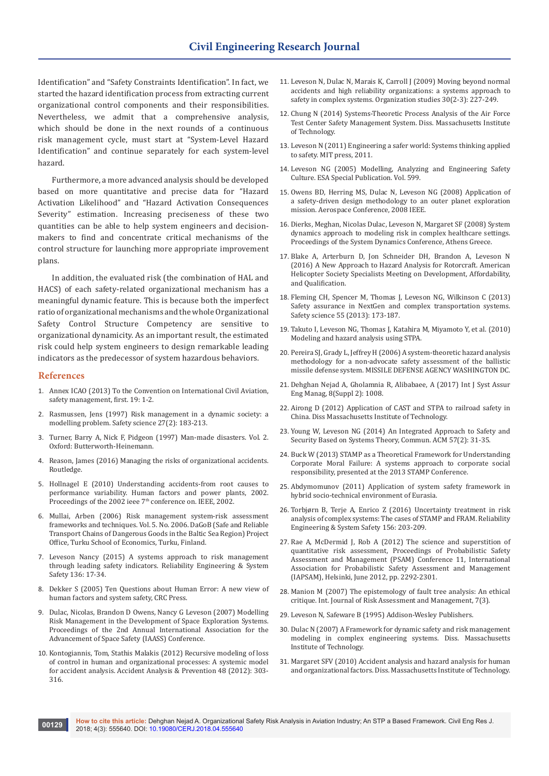Identification" and "Safety Constraints Identification". In fact, we started the hazard identification process from extracting current organizational control components and their responsibilities. Nevertheless, we admit that a comprehensive analysis, which should be done in the next rounds of a continuous risk management cycle, must start at "System-Level Hazard Identification" and continue separately for each system-level hazard.

Furthermore, a more advanced analysis should be developed based on more quantitative and precise data for "Hazard Activation Likelihood" and "Hazard Activation Consequences Severity" estimation. Increasing preciseness of these two quantities can be able to help system engineers and decisionmakers to find and concentrate critical mechanisms of the control structure for launching more appropriate improvement plans.

In addition, the evaluated risk (the combination of HAL and HACS) of each safety-related organizational mechanism has a meaningful dynamic feature. This is because both the imperfect ratio of organizational mechanisms and the whole Organizational Safety Control Structure Competency are sensitive to organizational dynamicity. As an important result, the estimated risk could help system engineers to design remarkable leading indicators as the predecessor of system hazardous behaviors.

#### **References**

- 1. Annex ICAO (2013) To the Convention on International Civil Aviation, safety management, first. 19: 1-2.
- 2. [Rasmussen, Jens \(1997\) Risk management in a dynamic society: a](https://www.sciencedirect.com/science/article/pii/S0925753597000520)  [modelling problem. Safety science](https://www.sciencedirect.com/science/article/pii/S0925753597000520) 27(2): 183-213.
- 3. Turner, Barry A, Nick F, Pidgeon (1997) Man-made disasters. Vol. 2. Oxford: Butterworth-Heinemann.
- 4. Reason, James (2016) Managing the risks of organizational accidents. Routledge.
- 5. [Hollnagel E \(2010\) Understanding accidents-from root causes to](http://ieeexplore.ieee.org/document/1042821/)  [performance variability. Human factors and power plants, 2002.](http://ieeexplore.ieee.org/document/1042821/)  Proceedings of the 2002 ieee 7<sup>th</sup> conference on. IEEE, 2002.
- 6. Mullai, Arben (2006) Risk management system-risk assessment frameworks and techniques. Vol. 5. No. 2006. DaGoB (Safe and Reliable Transport Chains of Dangerous Goods in the Baltic Sea Region) Project Office, Turku School of Economics, Turku, Finland.
- 7. [Leveson Nancy \(2015\) A systems approach to risk management](https://www.sciencedirect.com/science/article/pii/S0951832014002488)  [through leading safety indicators.](https://www.sciencedirect.com/science/article/pii/S0951832014002488) Reliability Engineering & System Safety [136: 17-34.](https://www.sciencedirect.com/science/article/pii/S0951832014002488)
- 8. Dekker S (2005) Ten Questions about Human Error: A new view of human factors and system safety, CRC Press.
- 9. Dulac, Nicolas, Brandon D Owens, Nancy G Leveson (2007) Modelling Risk Management in the Development of Space Exploration Systems. Proceedings of the 2nd Annual International Association for the Advancement of Space Safety (IAASS) Conference.
- 10. Kontogiannis, Tom, Stathis Malakis (2012) Recursive modeling of loss of control in human and organizational processes: A systemic model for accident analysis. Accident Analysis & Prevention 48 (2012): 303- 316.
- 11. [Leveson N, Dulac N, Marais K, Carroll J \(2009\) Moving beyond normal](http://journals.sagepub.com/doi/abs/10.1177/0170840608101478)  [accidents and high reliability organizations: a systems approach to](http://journals.sagepub.com/doi/abs/10.1177/0170840608101478)  [safety in complex systems.](http://journals.sagepub.com/doi/abs/10.1177/0170840608101478) Organization studies 30(2-3): 227-249.
- 12. Chung N (2014) [Systems-Theoretic Process Analysis of the Air Force](http://sunnyday.mit.edu/STAMP/Thesis-Chung.pdf)  [Test Center Safety Management System. Diss. Massachusetts Institute](http://sunnyday.mit.edu/STAMP/Thesis-Chung.pdf)  [of Technology](http://sunnyday.mit.edu/STAMP/Thesis-Chung.pdf).
- 13. Leveson N (2011) [Engineering a safer world: Systems thinking applied](http://sunnyday.mit.edu/safer-world.pdf)  [to safety. MIT press, 2011.](http://sunnyday.mit.edu/safer-world.pdf)
- 14. Leveson NG (2005) Modelling, Analyzing and Engineering Safety Culture. ESA Special Publication. Vol. 599.
- 15. [Owens BD, Herring MS, Dulac N, Leveson NG \(2008\) Application of](http://sunnyday.mit.edu/papers/IEEE-Aerospace.pdf)  [a safety-driven design methodology to an outer planet exploration](http://sunnyday.mit.edu/papers/IEEE-Aerospace.pdf)  [mission. Aerospace Conference, 2008 IEEE.](http://sunnyday.mit.edu/papers/IEEE-Aerospace.pdf)
- 16. Dierks, Meghan, Nicolas Dulac, Leveson N, Margaret SF (2008) System dynamics approach to modeling risk in complex healthcare settings. Proceedings of the System Dynamics Conference, Athens Greece.
- 17. [Blake A, Arterburn D, Jon Schneider DH, Brandon A, Leveson N](http://sunnyday.mit.edu/papers/AHS-final.pdf)  [\(2016\) A New Approach to Hazard Analysis for Rotorcraft.](http://sunnyday.mit.edu/papers/AHS-final.pdf) American [Helicopter Society Specialists Meeting on Development, Affordability,](http://sunnyday.mit.edu/papers/AHS-final.pdf)  [and Qualification](http://sunnyday.mit.edu/papers/AHS-final.pdf).
- 18. [Fleming CH, Spencer M, Thomas J, Leveson NG, Wilkinson C \(2013\)](https://www.sciencedirect.com/science/article/pii/S0925753512002871)  [Safety assurance in NextGen and complex transportation systems.](https://www.sciencedirect.com/science/article/pii/S0925753512002871)  Safety science [55 \(2013\): 173-187.](https://www.sciencedirect.com/science/article/pii/S0925753512002871)
- 19. [Takuto I, Leveson NG, Thomas J, Katahira M, Miyamoto Y, et al. \(2010\)](https://dspace.mit.edu/handle/1721.1/79639)  [Modeling and hazard analysis using STPA](https://dspace.mit.edu/handle/1721.1/79639).
- 20. [Pereira SJ, Grady L, Jeffrey H \(2006\)](http://www.dtic.mil/docs/citations/ADA466864) A system-theoretic hazard analysis [methodology for a non-advocate safety assessment of the ballistic](http://www.dtic.mil/docs/citations/ADA466864)  [missile defense system. MISSILE DEFENSE AGENCY WASHINGTON DC](http://www.dtic.mil/docs/citations/ADA466864).
- 21. Dehghan Nejad A, Gholamnia R, Alibabaee, A (2017) Int J Syst Assur Eng Manag, 8(Suppl 2): 1008.
- 22. Airong D (2012) [Application of CAST and STPA to railroad safety in](http://sunnyday.mit.edu/safer-world/Airong-thesis.pdf)  [China. Diss Massachusetts Institute of Technology.](http://sunnyday.mit.edu/safer-world/Airong-thesis.pdf)
- 23. [Young W, Leveson NG \(2014\) An Integrated Approach to Safety and](https://cacm.acm.org/magazines/2014/2/171683-an-integrated-approach-to-safety-and-security-based-on-systems-theory/abstract)  [Security Based on Systems Theory, Commun. ACM 57\(2\): 31-35.](https://cacm.acm.org/magazines/2014/2/171683-an-integrated-approach-to-safety-and-security-based-on-systems-theory/abstract)
- 24. [Buck W \(2013\) STAMP as a Theoretical Framework for Understanding](http://psas.scripts.mit.edu/home/wp-content/uploads/2013/04/01_Buck_Moral-Corporate_Failure.pdf)  [Corporate Moral Failure: A systems approach to corporate social](http://psas.scripts.mit.edu/home/wp-content/uploads/2013/04/01_Buck_Moral-Corporate_Failure.pdf)  [responsibility, presented at the 2013 STAMP Conference](http://psas.scripts.mit.edu/home/wp-content/uploads/2013/04/01_Buck_Moral-Corporate_Failure.pdf).
- 25. Abdymomunov (2011) Application of system safety framework in hybrid socio-technical environment of Eurasia.
- 26. [Torbjørn B, Terje A, Enrico Z \(2016\) Uncertainty treatment in risk](https://www.sciencedirect.com/science/article/pii/S0951832016303623)  [analysis of complex systems: The cases of STAMP and FRAM.](https://www.sciencedirect.com/science/article/pii/S0951832016303623) Reliability [Engineering & System Safety](https://www.sciencedirect.com/science/article/pii/S0951832016303623) 156: 203-209.
- 27. Rae A, McDermid J, Rob A (2012) The science and superstition of quantitative risk assessment, Proceedings of Probabilistic Safety Assessment and Management (PSAM) Conference 11, International Association for Probabilistic Safety Assessment and Management (IAPSAM), Helsinki, June 2012, pp. 2292-2301.
- 28. [Manion M \(2007\) The epistemology of fault tree analysis: An ethical](http://jglobal.jst.go.jp/en/public/20090422/200902224035580457)  [critique. Int. Journal of Risk Assessment and Management, 7\(3\).](http://jglobal.jst.go.jp/en/public/20090422/200902224035580457)
- 29. Leveson N, Safeware B (1995) Addison-Wesley Publishers.
- 30. Dulac N [\(2007\) A Framework for dynamic safety and risk management](http://sunnyday.mit.edu/safer-world/dulac-dissertation.pdf)  [modeling in complex engineering systems. Diss. Massachusetts](http://sunnyday.mit.edu/safer-world/dulac-dissertation.pdf)  [Institute of Technology](http://sunnyday.mit.edu/safer-world/dulac-dissertation.pdf).
- 31. Margaret SFV (2010) [Accident analysis and hazard analysis for human](http://sunnyday.mit.edu/safer-world/MaggieStringfellowDissertation.pdf)  [and organizational factors. Diss. Massachusetts Institute of Technology](http://sunnyday.mit.edu/safer-world/MaggieStringfellowDissertation.pdf).